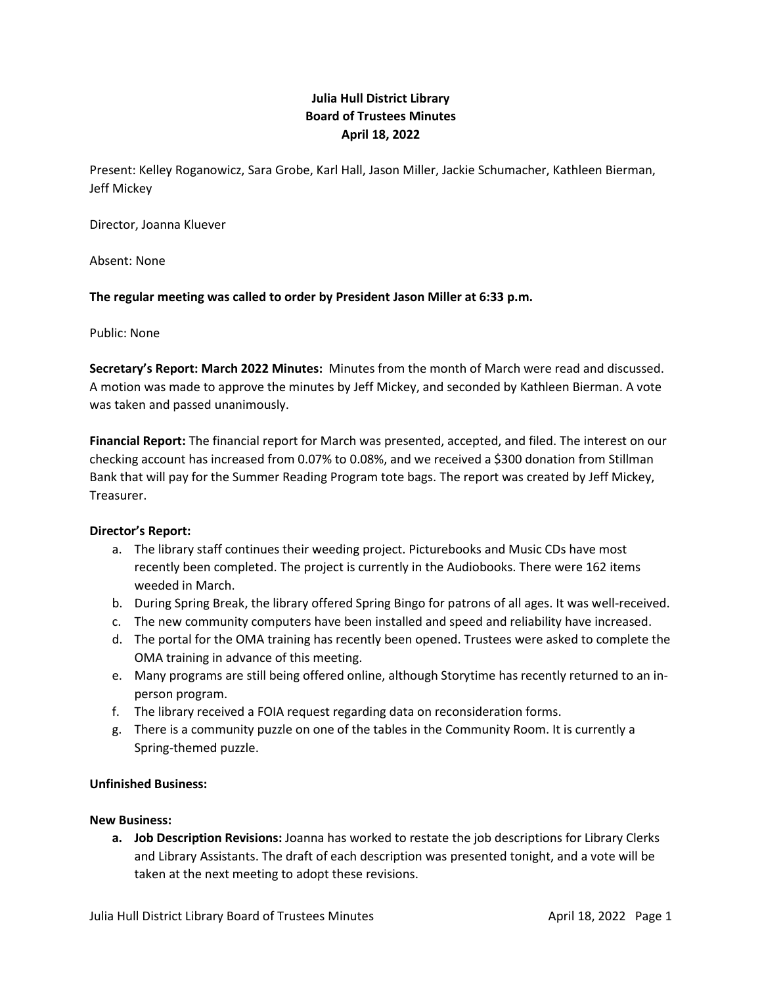# **Julia Hull District Library Board of Trustees Minutes April 18, 2022**

Present: Kelley Roganowicz, Sara Grobe, Karl Hall, Jason Miller, Jackie Schumacher, Kathleen Bierman, Jeff Mickey

Director, Joanna Kluever

Absent: None

## **The regular meeting was called to order by President Jason Miller at 6:33 p.m.**

Public: None

**Secretary's Report: March 2022 Minutes:** Minutes from the month of March were read and discussed. A motion was made to approve the minutes by Jeff Mickey, and seconded by Kathleen Bierman. A vote was taken and passed unanimously.

**Financial Report:** The financial report for March was presented, accepted, and filed. The interest on our checking account has increased from 0.07% to 0.08%, and we received a \$300 donation from Stillman Bank that will pay for the Summer Reading Program tote bags. The report was created by Jeff Mickey, Treasurer.

## **Director's Report:**

- a. The library staff continues their weeding project. Picturebooks and Music CDs have most recently been completed. The project is currently in the Audiobooks. There were 162 items weeded in March.
- b. During Spring Break, the library offered Spring Bingo for patrons of all ages. It was well-received.
- c. The new community computers have been installed and speed and reliability have increased.
- d. The portal for the OMA training has recently been opened. Trustees were asked to complete the OMA training in advance of this meeting.
- e. Many programs are still being offered online, although Storytime has recently returned to an inperson program.
- f. The library received a FOIA request regarding data on reconsideration forms.
- g. There is a community puzzle on one of the tables in the Community Room. It is currently a Spring-themed puzzle.

#### **Unfinished Business:**

#### **New Business:**

**a. Job Description Revisions:** Joanna has worked to restate the job descriptions for Library Clerks and Library Assistants. The draft of each description was presented tonight, and a vote will be taken at the next meeting to adopt these revisions.